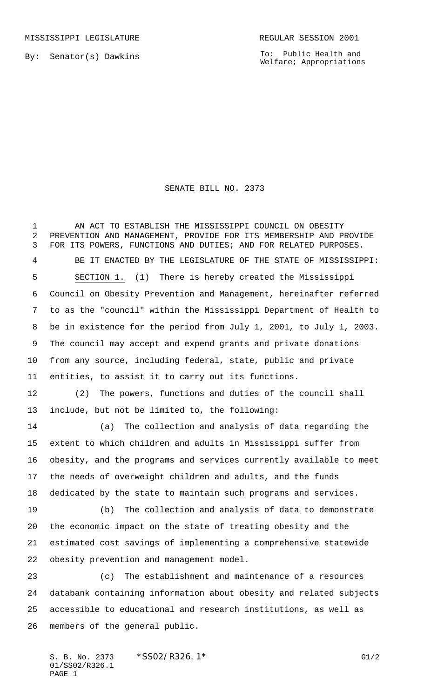By: Senator(s) Dawkins

To: Public Health and Welfare; Appropriations

## SENATE BILL NO. 2373

 AN ACT TO ESTABLISH THE MISSISSIPPI COUNCIL ON OBESITY PREVENTION AND MANAGEMENT, PROVIDE FOR ITS MEMBERSHIP AND PROVIDE FOR ITS POWERS, FUNCTIONS AND DUTIES; AND FOR RELATED PURPOSES. BE IT ENACTED BY THE LEGISLATURE OF THE STATE OF MISSISSIPPI: SECTION 1. (1) There is hereby created the Mississippi Council on Obesity Prevention and Management, hereinafter referred to as the "council" within the Mississippi Department of Health to be in existence for the period from July 1, 2001, to July 1, 2003. The council may accept and expend grants and private donations from any source, including federal, state, public and private entities, to assist it to carry out its functions.

 (2) The powers, functions and duties of the council shall include, but not be limited to, the following:

 (a) The collection and analysis of data regarding the extent to which children and adults in Mississippi suffer from obesity, and the programs and services currently available to meet the needs of overweight children and adults, and the funds dedicated by the state to maintain such programs and services.

 (b) The collection and analysis of data to demonstrate the economic impact on the state of treating obesity and the estimated cost savings of implementing a comprehensive statewide obesity prevention and management model.

 (c) The establishment and maintenance of a resources databank containing information about obesity and related subjects accessible to educational and research institutions, as well as members of the general public.

S. B. No. 2373 \* SS02/R326.1\* G1/2 01/SS02/R326.1 PAGE 1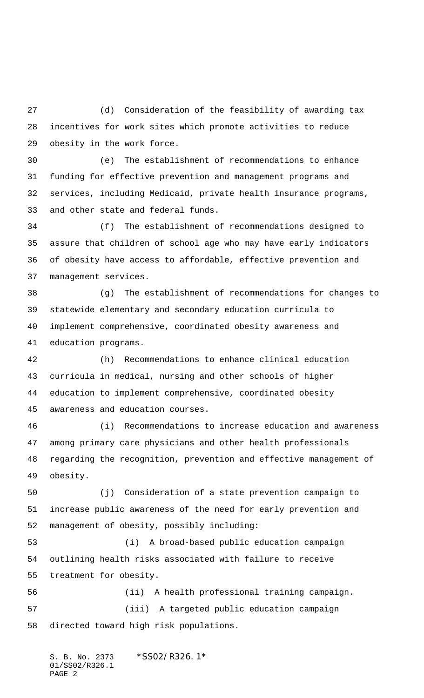(d) Consideration of the feasibility of awarding tax incentives for work sites which promote activities to reduce obesity in the work force.

 (e) The establishment of recommendations to enhance funding for effective prevention and management programs and services, including Medicaid, private health insurance programs, and other state and federal funds.

 (f) The establishment of recommendations designed to assure that children of school age who may have early indicators of obesity have access to affordable, effective prevention and management services.

 (g) The establishment of recommendations for changes to statewide elementary and secondary education curricula to implement comprehensive, coordinated obesity awareness and education programs.

 (h) Recommendations to enhance clinical education curricula in medical, nursing and other schools of higher education to implement comprehensive, coordinated obesity awareness and education courses.

 (i) Recommendations to increase education and awareness among primary care physicians and other health professionals regarding the recognition, prevention and effective management of obesity.

 (j) Consideration of a state prevention campaign to increase public awareness of the need for early prevention and management of obesity, possibly including:

 (i) A broad-based public education campaign outlining health risks associated with failure to receive treatment for obesity.

 (ii) A health professional training campaign. (iii) A targeted public education campaign directed toward high risk populations.

S. B. No. 2373 \*SS02/R326.1\* 01/SS02/R326.1 PAGE 2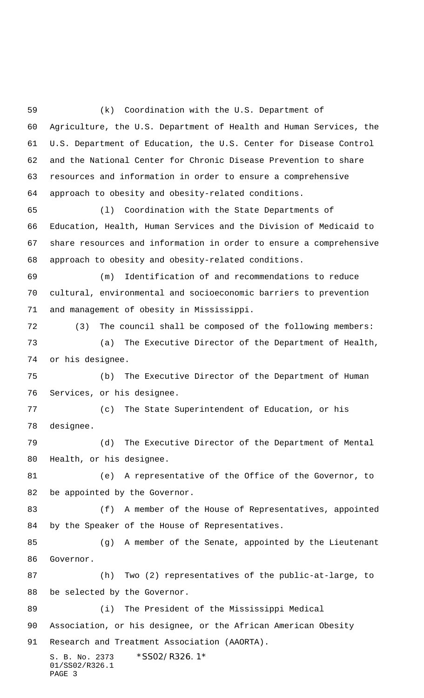S. B. No. 2373 \*SS02/R326.1\* 01/SS02/R326.1 PAGE 3 (k) Coordination with the U.S. Department of Agriculture, the U.S. Department of Health and Human Services, the U.S. Department of Education, the U.S. Center for Disease Control and the National Center for Chronic Disease Prevention to share resources and information in order to ensure a comprehensive approach to obesity and obesity-related conditions. (l) Coordination with the State Departments of Education, Health, Human Services and the Division of Medicaid to share resources and information in order to ensure a comprehensive approach to obesity and obesity-related conditions. (m) Identification of and recommendations to reduce cultural, environmental and socioeconomic barriers to prevention and management of obesity in Mississippi. (3) The council shall be composed of the following members: (a) The Executive Director of the Department of Health, or his designee. (b) The Executive Director of the Department of Human Services, or his designee. (c) The State Superintendent of Education, or his designee. (d) The Executive Director of the Department of Mental Health, or his designee. (e) A representative of the Office of the Governor, to be appointed by the Governor. 83 (f) A member of the House of Representatives, appointed by the Speaker of the House of Representatives. (g) A member of the Senate, appointed by the Lieutenant Governor. (h) Two (2) representatives of the public-at-large, to be selected by the Governor. (i) The President of the Mississippi Medical Association, or his designee, or the African American Obesity Research and Treatment Association (AAORTA).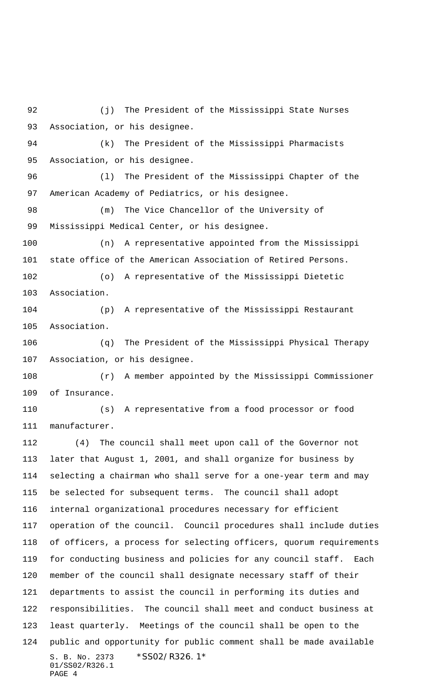S. B. No. 2373 \* SS02/R326.1\* 01/SS02/R326.1 PAGE 4 (j) The President of the Mississippi State Nurses Association, or his designee. (k) The President of the Mississippi Pharmacists Association, or his designee. (l) The President of the Mississippi Chapter of the American Academy of Pediatrics, or his designee. (m) The Vice Chancellor of the University of Mississippi Medical Center, or his designee. (n) A representative appointed from the Mississippi state office of the American Association of Retired Persons. (o) A representative of the Mississippi Dietetic Association. (p) A representative of the Mississippi Restaurant Association. (q) The President of the Mississippi Physical Therapy Association, or his designee. (r) A member appointed by the Mississippi Commissioner of Insurance. (s) A representative from a food processor or food manufacturer. (4) The council shall meet upon call of the Governor not later that August 1, 2001, and shall organize for business by selecting a chairman who shall serve for a one-year term and may be selected for subsequent terms. The council shall adopt internal organizational procedures necessary for efficient operation of the council. Council procedures shall include duties of officers, a process for selecting officers, quorum requirements for conducting business and policies for any council staff. Each member of the council shall designate necessary staff of their departments to assist the council in performing its duties and responsibilities. The council shall meet and conduct business at least quarterly. Meetings of the council shall be open to the public and opportunity for public comment shall be made available